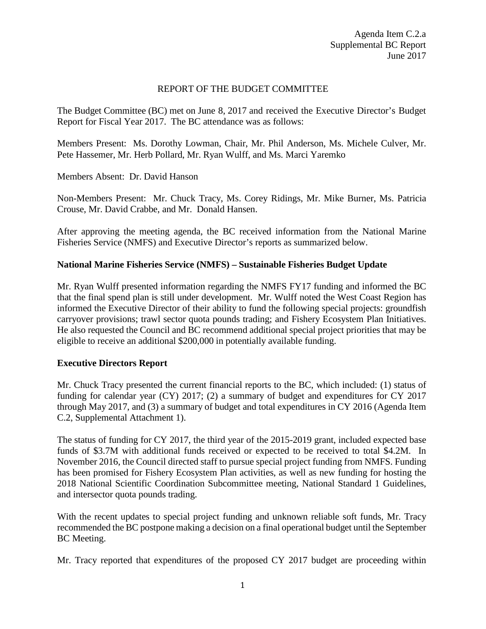## REPORT OF THE BUDGET COMMITTEE

The Budget Committee (BC) met on June 8, 2017 and received the Executive Director's Budget Report for Fiscal Year 2017. The BC attendance was as follows:

Members Present: Ms. Dorothy Lowman, Chair, Mr. Phil Anderson, Ms. Michele Culver, Mr. Pete Hassemer, Mr. Herb Pollard, Mr. Ryan Wulff, and Ms. Marci Yaremko

Members Absent: Dr. David Hanson

Non-Members Present: Mr. Chuck Tracy, Ms. Corey Ridings, Mr. Mike Burner, Ms. Patricia Crouse, Mr. David Crabbe, and Mr. Donald Hansen.

After approving the meeting agenda, the BC received information from the National Marine Fisheries Service (NMFS) and Executive Director's reports as summarized below.

## **National Marine Fisheries Service (NMFS) – Sustainable Fisheries Budget Update**

Mr. Ryan Wulff presented information regarding the NMFS FY17 funding and informed the BC that the final spend plan is still under development. Mr. Wulff noted the West Coast Region has informed the Executive Director of their ability to fund the following special projects: groundfish carryover provisions; trawl sector quota pounds trading; and Fishery Ecosystem Plan Initiatives. He also requested the Council and BC recommend additional special project priorities that may be eligible to receive an additional \$200,000 in potentially available funding.

## **Executive Directors Report**

Mr. Chuck Tracy presented the current financial reports to the BC, which included: (1) status of funding for calendar year (CY) 2017; (2) a summary of budget and expenditures for CY 2017 through May 2017, and (3) a summary of budget and total expenditures in CY 2016 (Agenda Item C.2, Supplemental Attachment 1).

The status of funding for CY 2017, the third year of the 2015-2019 grant, included expected base funds of \$3.7M with additional funds received or expected to be received to total \$4.2M. In November 2016, the Council directed staff to pursue special project funding from NMFS. Funding has been promised for Fishery Ecosystem Plan activities, as well as new funding for hosting the 2018 National Scientific Coordination Subcommittee meeting, National Standard 1 Guidelines, and intersector quota pounds trading.

With the recent updates to special project funding and unknown reliable soft funds, Mr. Tracy recommended the BC postpone making a decision on a final operational budget until the September BC Meeting.

Mr. Tracy reported that expenditures of the proposed CY 2017 budget are proceeding within